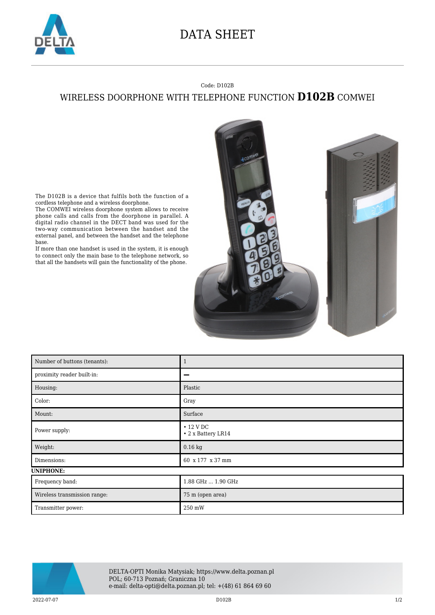

## DATA SHEET

## Code: D102B

## WIRELESS DOORPHONE WITH TELEPHONE FUNCTION **D102B** COMWEI

The D102B is a device that fulfils both the function of a cordless telephone and a wireless doorphone.

The COMWEI wireless doorphone system allows to receive phone calls and calls from the doorphone in parallel. A digital radio channel in the DECT band was used for the two-way communication between the handset and the external panel, and between the handset and the telephone base.

If more than one handset is used in the system, it is enough to connect only the main base to the telephone network, so that all the handsets will gain the functionality of the phone.



| Number of buttons (tenants): |                                       |
|------------------------------|---------------------------------------|
| proximity reader built-in:   |                                       |
| Housing:                     | Plastic                               |
| Color:                       | Gray                                  |
| Mount:                       | Surface                               |
| Power supply:                | $\cdot$ 12 V DC<br>• 2 x Battery LR14 |
| Weight:                      | $0.16$ kg                             |
| Dimensions:                  | 60 x 177 x 37 mm                      |
| <b>UNIPHONE:</b>             |                                       |
| Frequency band:              | 1.88 GHz  1.90 GHz                    |
| Wireless transmission range: | 75 m (open area)                      |
| Transmitter power:           | 250 mW                                |